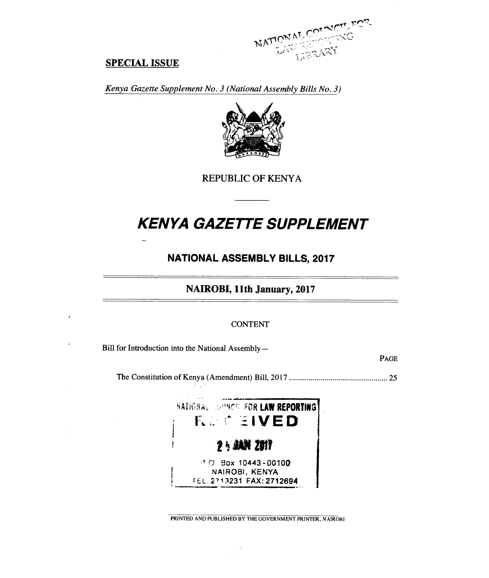

### **SPECIAL ISSUE**

*Kenya Gazette Supplement No. 3 (National Assembly Bills No. 3)* 



REPUBLIC OF KENYA

# *KENYA GAZETTE SUPPLEMENT*

# **NATIONAL ASSEMBLY BILLS, 2017**

**NAIROBI, 11th January, 2017** 

### **CONTENT**

Bill for Introduction into the National Assembly—

14 N.Y

PAGE

The Constitution of Kenya (Amendment) Bill, 2017 25



PRINTED AND PUBLISHED BY THE GOVERNMENT PRINTER, NAIROBI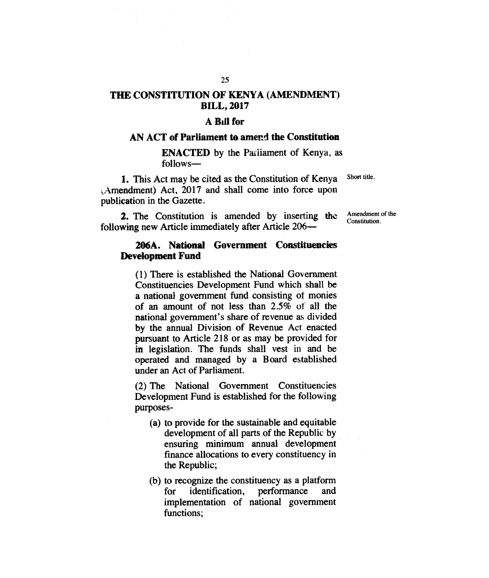# **THE CONSTITUTION OF KENYA (AMENDMENT) BILL, 2017**

### **A Bill for**

### **AN ACT of Parliament to amend the Constitution**

**ENACTED** by the Parliament of Kenya, as follows-

1. This Act may be cited as the Constitution of Kenya ,Amendment) Act, 2017 and shall come into force upon publication in the Gazette.

2. The Constitution is amended by inserting the following new Article immediately after Article 206Amendment of the Constitution.

Short title.

### **206A. National Government Constituencies Development Fund**

(1) There is established the National Government Constituencies Development Fund which shall be a national government fund consisting of monies of an amount of not less than 2.5% of all the national government's share of revenue as divided by the annual Division of Revenue Act enacted pursuant to Article 218 or as may be provided for in legislation. The funds shall vest in and be operated and managed by a Board established under an Act of Parliament.

(2) The National Government Constituencies Development Fund is established for the following purposes-

- (a) to provide for the sustainable and equitable development of all parts of the Republic by ensuring minimum annual development finance allocations to every constituency in the Republic;
- (b) to recognize the constituency as a platform identification, performance implementation of national government functions;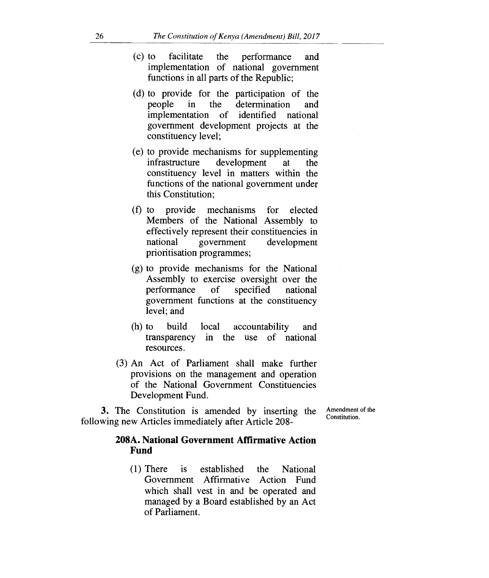- (c) to facilitate the performance and implementation of national government functions in all parts of the Republic;
- (d) to provide for the participation of the people in the determination and implementation of identified national government development projects at the constituency level;
- (e) to provide mechanisms for supplementing infrastructure development at the constituency level in matters within the functions of the national government under this Constitution;
- (f) to provide mechanisms for elected Members of the National Assembly to effectively represent their constituencies in national government development prioritisation programmes;
- (g) to provide mechanisms for the National Assembly to exercise oversight over the performance of specified national government functions at the constituency level; and
- (h) to build local accountability and transparency in the use of national resources.
- (3) An Act of Parliament shall make further provisions on the management and operation of the National Government Constituencies Development Fund.

Amendment of the Constitution.

# following new Articles immediately after Article 208-

**3.** The Constitution is amended by inserting the

### **208A. National Government Affirmative Action Fund**

(1) There is established the National Government Affirmative Action Fund which shall vest in and be operated and managed by a Board established by an Act of Parliament.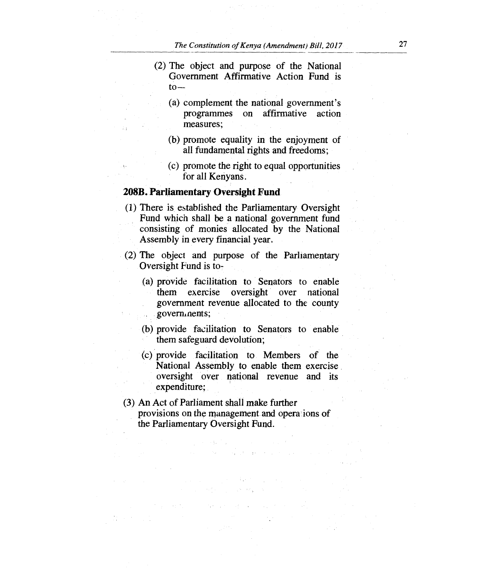- (2) The object and purpose of the National Government Affirmative Action Fund is  $to-$ 
	- (a) complement the national government's programmes on affirmative action measures;
	- (b) promote equality in the enjoyment of all fundamental rights and freedoms;
	- (c) promote the right to equal opportunities for all Kenyans.

### **208B. Parliamentary Oversight Fund**

- (1) There is, established the Parliamentary Oversight Fund which shall be a national government fund consisting of monies allocated by the National Assembly in every financial year.
- (2) The object and purpose of the Parliamentary Oversight Fund is to-
	- (a) provide facilitation to Senators to enable them exercise oversight over national government revenue allocated to the county governments;
	- (b) provide facilitation to Senators to enable them safeguard devolution;
	- (c) provide facilitation to Members of the National Assembly to enable them exercise oversight over national revenue and its expenditure;

And a series of the control

(3) An Act of Parliament shall make further provisions on the management and opera ions of the Parliamentary Oversight Fund.

the common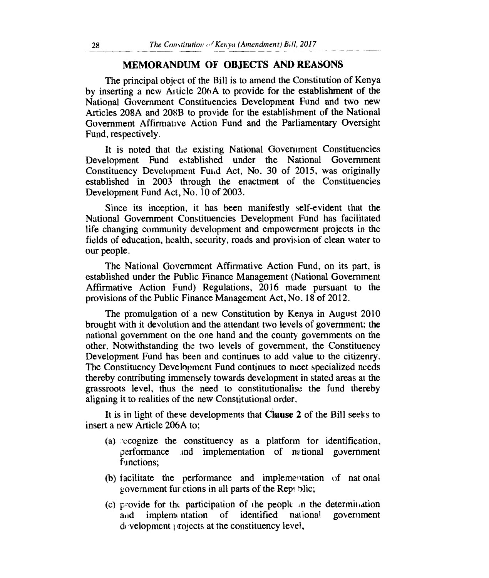### **MEMORANDUM OF OBJECTS AND REASONS**

The principal object of the Bill is to amend the Constitution of Kenya by inserting a new Article 206A to provide for the establishment of the National Government Constituencies Development Fund and two new Articles 208A and 208B to provide for the establishment of the National Government Affirmative Action Fund and the Parliamentary Oversight Fund, respectively.

It is noted that the existing National Government Constituencies Development Fund established under the National Government Constituency Development Fulid Act, No. 30 of 2015, was originally established in 2003 through the enactment of the Constituencies Development Fund Act, No. 10 of 2003.

Since its inception, it has been manifestly self-evident that the National Government Constituencies Development Fund has facilitated life changing community development and empowerment projects in the fields of education, health, security, roads and provision of clean water to our people.

The National Government Affirmative Action Fund, on its part, is established under the Public Finance Management (National Government Affirmative Action Fund) Regulations, 2016 made pursuant to the provisions of the Public Finance Management Act, No. 18 of 2012.

The promulgation of a new Constitution by Kenya in August 2010 brought with it devolution and the attendant two levels of government; the national government on the one hand and the county governments on the other. Notwithstanding the two levels of government, the Constituency Development Fund has been and continues to add value to the citizenry. The Constituency Development Fund continues to meet specialized needs thereby contributing immensely towards development in stated areas at the grassroots level, thus the need to constitutionalise the fund thereby aligning it to realities of the new Constitutional order.

It is in light of these developments that **Clause 2** of the Bill seeks to insert a new Article 206A to;

- (a)  $\infty$  cognize the constituency as a platform for identification, performance and implementation of national government functions;
- (b) facilitate the performance and implementation of nat onal government fur ctions in all parts of the Rept blic;
- (c) provide for the participation of the people: in the determination and implementation of identified national government  $d$  velopment projects at the constituency level,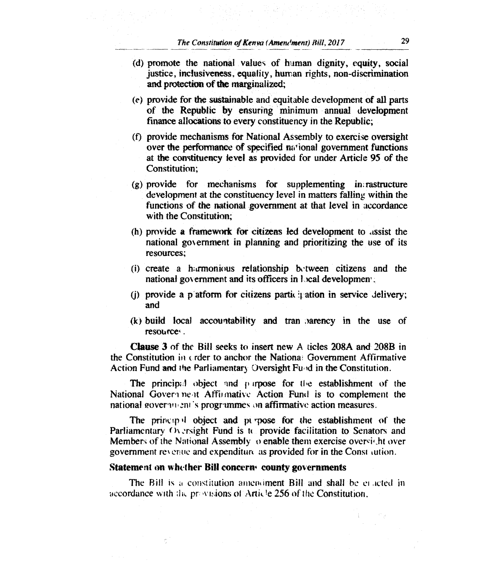- (d) promote the national values of human dignity, equity, social justice, inclusiveness, equality, human rights, non-discrimination and protection of the marginalized;
- (e) provide for the sustainable and equitable development of all parts of the Republic by ensuring minimum annual development finance allocations to every constituency in the Republic;
- (0 provide mechanisms for National Assembly to exercise oversight over the performance of specified national government functions at the constituency level as provided for under Article 95 of the Constitution;
- (g) provide for mechanisms for supplementing in rastructure development at the constituency level in matters falling within the functions of the national government at that level in accordance with the Constitution;
- (h) provide a framework for citizens led development to assist the national government in planning and prioritizing the use of its resources;
- (i) create a harmonious relationship between citizens and the national government and its officers in local development.
- (i) provide a p atform for citizens participation in service delivery; and
- (k) build local accountability and tran Jarency in the use of resource.

**Clause 3** of the Bill seeks to insert new A ticles 208A and 208B in the Constitution in order to anchor the Nationa: Government Affirmative Action Fund and the Parliamentary Oversight Fuld in the Constitution.

The principal object and p irpose for the establishment of the National Govern neat Affilmative Action Fund is to complement the national government is progrummes on affirmative action measures.

The princip  $\mathbf{J}$  object and pi pose for the establishment of the Parliamentary  $\theta$  versight Fund is to provide facilitation to Senators and Members of the National Assembly  $\upsilon$  enable them exercise oversight over government revenue and expenditure as provided for in the Const aution.

#### **Statement on whether Bill concern• county governments**

The Bill is a constitution amendment Bill and shall be eracted in accordance with the provisions of Article 256 of the Constitution.